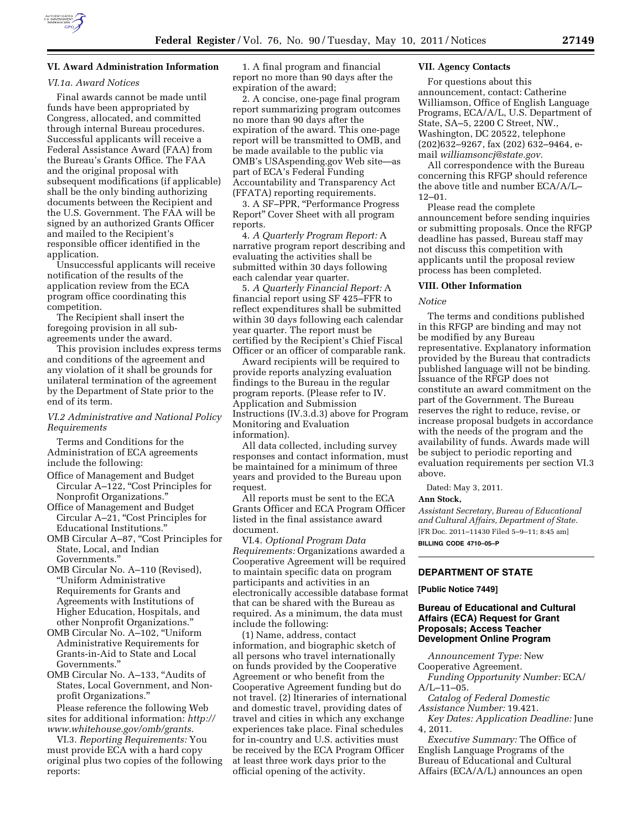

# **VI. Award Administration Information**

### *VI.1a. Award Notices*

Final awards cannot be made until funds have been appropriated by Congress, allocated, and committed through internal Bureau procedures. Successful applicants will receive a Federal Assistance Award (FAA) from the Bureau's Grants Office. The FAA and the original proposal with subsequent modifications (if applicable) shall be the only binding authorizing documents between the Recipient and the U.S. Government. The FAA will be signed by an authorized Grants Officer and mailed to the Recipient's responsible officer identified in the application.

Unsuccessful applicants will receive notification of the results of the application review from the ECA program office coordinating this competition.

The Recipient shall insert the foregoing provision in all subagreements under the award.

This provision includes express terms and conditions of the agreement and any violation of it shall be grounds for unilateral termination of the agreement by the Department of State prior to the end of its term.

# *VI.2 Administrative and National Policy Requirements*

Terms and Conditions for the Administration of ECA agreements include the following:

- Office of Management and Budget Circular A–122, ''Cost Principles for Nonprofit Organizations.''
- Office of Management and Budget Circular A-21, "Cost Principles for Educational Institutions.''
- OMB Circular A–87, ''Cost Principles for State, Local, and Indian Governments.''
- OMB Circular No. A–110 (Revised), ''Uniform Administrative Requirements for Grants and Agreements with Institutions of Higher Education, Hospitals, and other Nonprofit Organizations.''
- OMB Circular No. A–102, ''Uniform Administrative Requirements for Grants-in-Aid to State and Local Governments.''
- OMB Circular No. A–133, ''Audits of States, Local Government, and Nonprofit Organizations.''

Please reference the following Web sites for additional information: *[http://](http://www.whitehouse.gov/omb/grants) [www.whitehouse.gov/omb/grants.](http://www.whitehouse.gov/omb/grants)* 

VI.3. *Reporting Requirements:* You must provide ECA with a hard copy original plus two copies of the following reports:

1. A final program and financial report no more than 90 days after the expiration of the award;

2. A concise, one-page final program report summarizing program outcomes no more than 90 days after the expiration of the award. This one-page report will be transmitted to OMB, and be made available to the public via OMB's USAspending.gov Web site—as part of ECA's Federal Funding Accountability and Transparency Act (FFATA) reporting requirements.

3. A SF–PPR, ''Performance Progress Report'' Cover Sheet with all program reports.

4. *A Quarterly Program Report:* A narrative program report describing and evaluating the activities shall be submitted within 30 days following each calendar year quarter.

5. *A Quarterly Financial Report:* A financial report using SF 425–FFR to reflect expenditures shall be submitted within 30 days following each calendar year quarter. The report must be certified by the Recipient's Chief Fiscal Officer or an officer of comparable rank.

Award recipients will be required to provide reports analyzing evaluation findings to the Bureau in the regular program reports. (Please refer to IV. Application and Submission Instructions (IV.3.d.3) above for Program Monitoring and Evaluation information).

All data collected, including survey responses and contact information, must be maintained for a minimum of three years and provided to the Bureau upon request.

All reports must be sent to the ECA Grants Officer and ECA Program Officer listed in the final assistance award document.

VI.4. *Optional Program Data Requirements:* Organizations awarded a Cooperative Agreement will be required to maintain specific data on program participants and activities in an electronically accessible database format that can be shared with the Bureau as required. As a minimum, the data must include the following:

(1) Name, address, contact information, and biographic sketch of all persons who travel internationally on funds provided by the Cooperative Agreement or who benefit from the Cooperative Agreement funding but do not travel. (2) Itineraries of international and domestic travel, providing dates of travel and cities in which any exchange experiences take place. Final schedules for in-country and U.S. activities must be received by the ECA Program Officer at least three work days prior to the official opening of the activity.

## **VII. Agency Contacts**

For questions about this announcement, contact: Catherine Williamson, Office of English Language Programs, ECA/A/L, U.S. Department of State, SA–5, 2200 C Street, NW., Washington, DC 20522, telephone (202)632–9267, fax (202) 632–9464, email *[williamsoncj@state.gov.](mailto:williamsoncj@state.gov)* 

All correspondence with the Bureau concerning this RFGP should reference the above title and number ECA/A/L– 12–01.

Please read the complete announcement before sending inquiries or submitting proposals. Once the RFGP deadline has passed, Bureau staff may not discuss this competition with applicants until the proposal review process has been completed.

### **VIII. Other Information**

### *Notice*

The terms and conditions published in this RFGP are binding and may not be modified by any Bureau representative. Explanatory information provided by the Bureau that contradicts published language will not be binding. Issuance of the RFGP does not constitute an award commitment on the part of the Government. The Bureau reserves the right to reduce, revise, or increase proposal budgets in accordance with the needs of the program and the availability of funds. Awards made will be subject to periodic reporting and evaluation requirements per section VI.3 above.

Dated: May 3, 2011.

### **Ann Stock,**

*Assistant Secretary, Bureau of Educational and Cultural Affairs, Department of State.*  [FR Doc. 2011–11430 Filed 5–9–11; 8:45 am] **BILLING CODE 4710–05–P** 

# **DEPARTMENT OF STATE**

**[Public Notice 7449]** 

# **Bureau of Educational and Cultural Affairs (ECA) Request for Grant Proposals; Access Teacher Development Online Program**

*Announcement Type:* New Cooperative Agreement.

*Funding Opportunity Number:* ECA/ A/L–11–05.

*Catalog of Federal Domestic Assistance Number:* 19.421.

*Key Dates: Application Deadline:* June 4, 2011.

*Executive Summary:* The Office of English Language Programs of the Bureau of Educational and Cultural Affairs (ECA/A/L) announces an open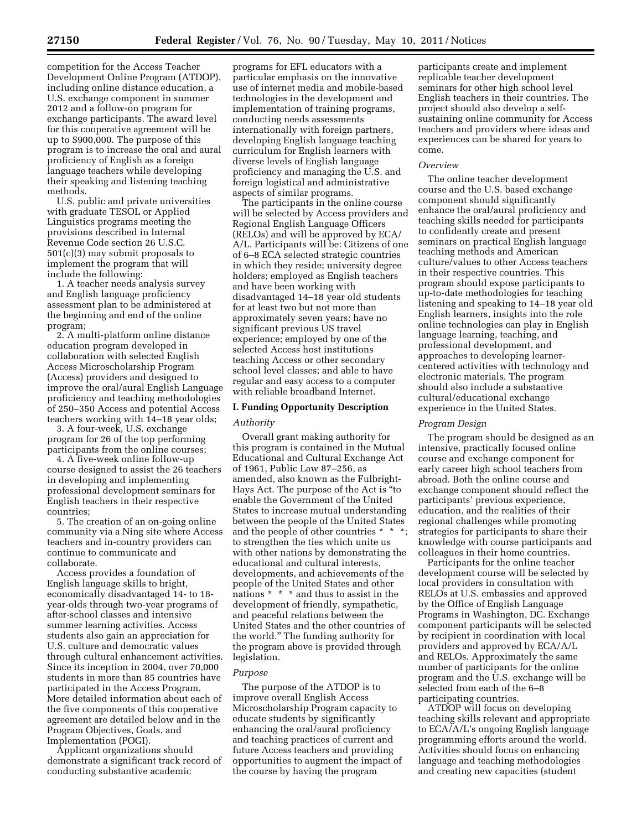competition for the Access Teacher Development Online Program (ATDOP), including online distance education, a U.S. exchange component in summer 2012 and a follow-on program for exchange participants. The award level for this cooperative agreement will be up to \$900,000. The purpose of this program is to increase the oral and aural proficiency of English as a foreign language teachers while developing their speaking and listening teaching methods.

U.S. public and private universities with graduate TESOL or Applied Linguistics programs meeting the provisions described in Internal Revenue Code section 26 U.S.C. 501(c)(3) may submit proposals to implement the program that will include the following:

1. A teacher needs analysis survey and English language proficiency assessment plan to be administered at the beginning and end of the online program;

2. A multi-platform online distance education program developed in collaboration with selected English Access Microscholarship Program (Access) providers and designed to improve the oral/aural English Language proficiency and teaching methodologies of 250–350 Access and potential Access teachers working with 14–18 year olds;

3. A four-week, U.S. exchange program for 26 of the top performing participants from the online courses;

4. A five-week online follow-up course designed to assist the 26 teachers in developing and implementing professional development seminars for English teachers in their respective countries;

5. The creation of an on-going online community via a Ning site where Access teachers and in-country providers can continue to communicate and collaborate.

Access provides a foundation of English language skills to bright, economically disadvantaged 14- to 18 year-olds through two-year programs of after-school classes and intensive summer learning activities. Access students also gain an appreciation for U.S. culture and democratic values through cultural enhancement activities. Since its inception in 2004, over 70,000 students in more than 85 countries have participated in the Access Program. More detailed information about each of the five components of this cooperative agreement are detailed below and in the Program Objectives, Goals, and Implementation (POGI).

Applicant organizations should demonstrate a significant track record of conducting substantive academic

programs for EFL educators with a particular emphasis on the innovative use of internet media and mobile-based technologies in the development and implementation of training programs, conducting needs assessments internationally with foreign partners, developing English language teaching curriculum for English learners with diverse levels of English language proficiency and managing the U.S. and foreign logistical and administrative aspects of similar programs.

The participants in the online course will be selected by Access providers and Regional English Language Officers (RELOs) and will be approved by ECA/ A/L. Participants will be: Citizens of one of 6–8 ECA selected strategic countries in which they reside; university degree holders; employed as English teachers and have been working with disadvantaged 14–18 year old students for at least two but not more than approximately seven years; have no significant previous US travel experience; employed by one of the selected Access host institutions teaching Access or other secondary school level classes; and able to have regular and easy access to a computer with reliable broadband Internet.

### **I. Funding Opportunity Description**

#### *Authority*

Overall grant making authority for this program is contained in the Mutual Educational and Cultural Exchange Act of 1961, Public Law 87–256, as amended, also known as the Fulbright-Hays Act. The purpose of the Act is ''to enable the Government of the United States to increase mutual understanding between the people of the United States and the people of other countries \* \* \*; to strengthen the ties which unite us with other nations by demonstrating the educational and cultural interests, developments, and achievements of the people of the United States and other nations \* \* \* and thus to assist in the development of friendly, sympathetic, and peaceful relations between the United States and the other countries of the world.'' The funding authority for the program above is provided through legislation.

# *Purpose*

The purpose of the ATDOP is to improve overall English Access Microscholarship Program capacity to educate students by significantly enhancing the oral/aural proficiency and teaching practices of current and future Access teachers and providing opportunities to augment the impact of the course by having the program

participants create and implement replicable teacher development seminars for other high school level English teachers in their countries. The project should also develop a selfsustaining online community for Access teachers and providers where ideas and experiences can be shared for years to come.

### *Overview*

The online teacher development course and the U.S. based exchange component should significantly enhance the oral/aural proficiency and teaching skills needed for participants to confidently create and present seminars on practical English language teaching methods and American culture/values to other Access teachers in their respective countries. This program should expose participants to up-to-date methodologies for teaching listening and speaking to 14–18 year old English learners, insights into the role online technologies can play in English language learning, teaching, and professional development, and approaches to developing learnercentered activities with technology and electronic materials. The program should also include a substantive cultural/educational exchange experience in the United States.

### *Program Design*

The program should be designed as an intensive, practically focused online course and exchange component for early career high school teachers from abroad. Both the online course and exchange component should reflect the participants' previous experience, education, and the realities of their regional challenges while promoting strategies for participants to share their knowledge with course participants and colleagues in their home countries.

Participants for the online teacher development course will be selected by local providers in consultation with RELOs at U.S. embassies and approved by the Office of English Language Programs in Washington, DC. Exchange component participants will be selected by recipient in coordination with local providers and approved by ECA/A/L and RELOs. Approximately the same number of participants for the online program and the U.S. exchange will be selected from each of the 6–8 participating countries.

ATDOP will focus on developing teaching skills relevant and appropriate to ECA/A/L's ongoing English language programming efforts around the world. Activities should focus on enhancing language and teaching methodologies and creating new capacities (student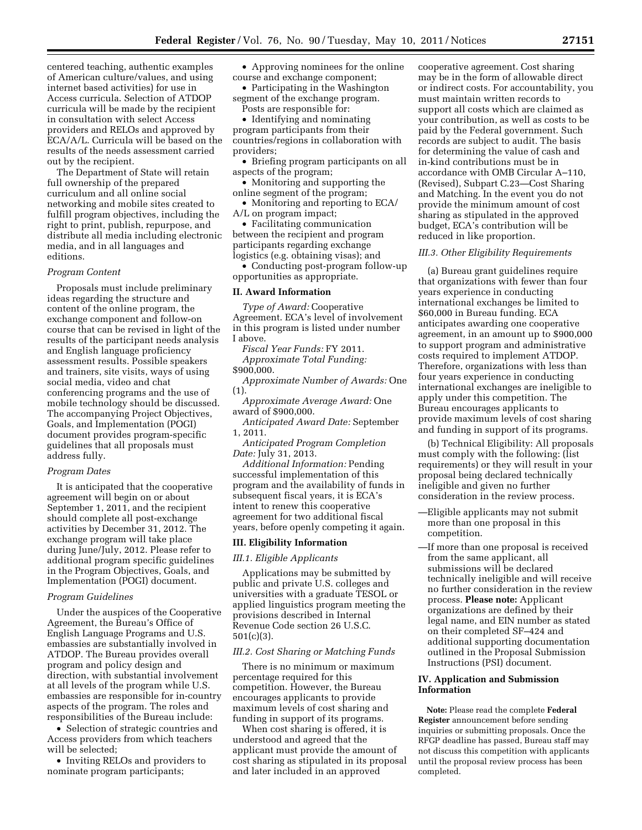centered teaching, authentic examples of American culture/values, and using internet based activities) for use in Access curricula. Selection of ATDOP curricula will be made by the recipient in consultation with select Access providers and RELOs and approved by ECA/A/L. Curricula will be based on the results of the needs assessment carried out by the recipient.

The Department of State will retain full ownership of the prepared curriculum and all online social networking and mobile sites created to fulfill program objectives, including the right to print, publish, repurpose, and distribute all media including electronic media, and in all languages and editions.

#### *Program Content*

Proposals must include preliminary ideas regarding the structure and content of the online program, the exchange component and follow-on course that can be revised in light of the results of the participant needs analysis and English language proficiency assessment results. Possible speakers and trainers, site visits, ways of using social media, video and chat conferencing programs and the use of mobile technology should be discussed. The accompanying Project Objectives, Goals, and Implementation (POGI) document provides program-specific guidelines that all proposals must address fully.

#### *Program Dates*

It is anticipated that the cooperative agreement will begin on or about September 1, 2011, and the recipient should complete all post-exchange activities by December 31, 2012. The exchange program will take place during June/July, 2012. Please refer to additional program specific guidelines in the Program Objectives, Goals, and Implementation (POGI) document.

#### *Program Guidelines*

Under the auspices of the Cooperative Agreement, the Bureau's Office of English Language Programs and U.S. embassies are substantially involved in ATDOP. The Bureau provides overall program and policy design and direction, with substantial involvement at all levels of the program while U.S. embassies are responsible for in-country aspects of the program. The roles and responsibilities of the Bureau include:

• Selection of strategic countries and Access providers from which teachers will be selected;

• Inviting RELOs and providers to nominate program participants;

• Approving nominees for the online course and exchange component;

• Participating in the Washington segment of the exchange program. Posts are responsible for:

• Identifying and nominating program participants from their countries/regions in collaboration with providers;

• Briefing program participants on all aspects of the program;

• Monitoring and supporting the online segment of the program;

• Monitoring and reporting to ECA/ A/L on program impact;

• Facilitating communication between the recipient and program participants regarding exchange logistics (e.g. obtaining visas); and

• Conducting post-program follow-up opportunities as appropriate.

# **II. Award Information**

*Type of Award:* Cooperative Agreement. ECA's level of involvement in this program is listed under number I above.

*Fiscal Year Funds:* FY 2011. *Approximate Total Funding:*  \$900,000.

*Approximate Number of Awards:* One (1).

*Approximate Average Award:* One award of \$900,000.

*Anticipated Award Date:* September 1, 2011.

*Anticipated Program Completion Date:* July 31, 2013.

*Additional Information:* Pending successful implementation of this program and the availability of funds in subsequent fiscal years, it is ECA's intent to renew this cooperative agreement for two additional fiscal years, before openly competing it again.

## **III. Eligibility Information**

### *III.1. Eligible Applicants*

Applications may be submitted by public and private U.S. colleges and universities with a graduate TESOL or applied linguistics program meeting the provisions described in Internal Revenue Code section 26 U.S.C. 501(c)(3).

### *III.2. Cost Sharing or Matching Funds*

There is no minimum or maximum percentage required for this competition. However, the Bureau encourages applicants to provide maximum levels of cost sharing and funding in support of its programs.

When cost sharing is offered, it is understood and agreed that the applicant must provide the amount of cost sharing as stipulated in its proposal and later included in an approved

cooperative agreement. Cost sharing may be in the form of allowable direct or indirect costs. For accountability, you must maintain written records to support all costs which are claimed as your contribution, as well as costs to be paid by the Federal government. Such records are subject to audit. The basis for determining the value of cash and in-kind contributions must be in accordance with OMB Circular A–110, (Revised), Subpart C.23—Cost Sharing and Matching. In the event you do not provide the minimum amount of cost sharing as stipulated in the approved budget, ECA's contribution will be reduced in like proportion.

### *III.3. Other Eligibility Requirements*

(a) Bureau grant guidelines require that organizations with fewer than four years experience in conducting international exchanges be limited to \$60,000 in Bureau funding. ECA anticipates awarding one cooperative agreement, in an amount up to \$900,000 to support program and administrative costs required to implement ATDOP. Therefore, organizations with less than four years experience in conducting international exchanges are ineligible to apply under this competition. The Bureau encourages applicants to provide maximum levels of cost sharing and funding in support of its programs.

(b) Technical Eligibility: All proposals must comply with the following: (list requirements) or they will result in your proposal being declared technically ineligible and given no further consideration in the review process.

- —Eligible applicants may not submit more than one proposal in this competition.
- —If more than one proposal is received from the same applicant, all submissions will be declared technically ineligible and will receive no further consideration in the review process. **Please note:** Applicant organizations are defined by their legal name, and EIN number as stated on their completed SF–424 and additional supporting documentation outlined in the Proposal Submission Instructions (PSI) document.

# **IV. Application and Submission Information**

**Note:** Please read the complete **Federal Register** announcement before sending inquiries or submitting proposals. Once the RFGP deadline has passed, Bureau staff may not discuss this competition with applicants until the proposal review process has been completed.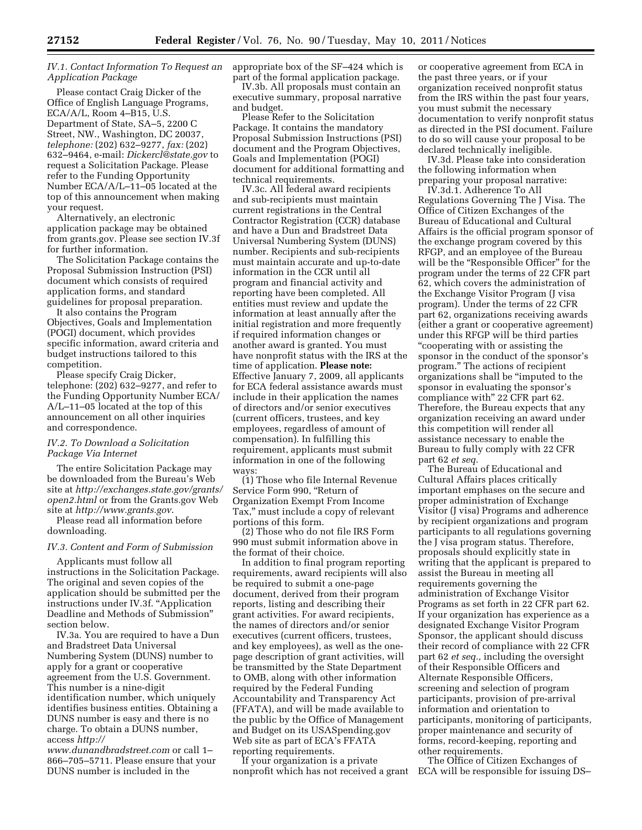# *IV.1. Contact Information To Request an Application Package*

Please contact Craig Dicker of the Office of English Language Programs, ECA/A/L, Room 4–B15, U.S. Department of State, SA–5, 2200 C Street, NW., Washington, DC 20037, *telephone:* (202) 632–9277, *fax:* (202) 632–9464, e-mail: *[Dickercl@state.gov](mailto:Dickercl@state.gov)* to request a Solicitation Package. Please refer to the Funding Opportunity Number ECA/A/L–11–05 located at the top of this announcement when making your request.

Alternatively, an electronic application package may be obtained from grants.gov. Please see section IV.3f for further information.

The Solicitation Package contains the Proposal Submission Instruction (PSI) document which consists of required application forms, and standard guidelines for proposal preparation.

It also contains the Program Objectives, Goals and Implementation (POGI) document, which provides specific information, award criteria and budget instructions tailored to this competition.

Please specify Craig Dicker, telephone: (202) 632–9277, and refer to the Funding Opportunity Number ECA/ A/L–11–05 located at the top of this announcement on all other inquiries and correspondence.

# *IV.2. To Download a Solicitation Package Via Internet*

The entire Solicitation Package may be downloaded from the Bureau's Web site at *[http://exchanges.state.gov/grants/](http://exchanges.state.gov/grants/open2.html)  [open2.html](http://exchanges.state.gov/grants/open2.html)* or from the Grants.gov Web site at *<http://www.grants.gov>*.

Please read all information before downloading.

### *IV.3. Content and Form of Submission*

Applicants must follow all instructions in the Solicitation Package. The original and seven copies of the application should be submitted per the instructions under IV.3f. ''Application Deadline and Methods of Submission'' section below.

IV.3a. You are required to have a Dun and Bradstreet Data Universal Numbering System (DUNS) number to apply for a grant or cooperative agreement from the U.S. Government. This number is a nine-digit identification number, which uniquely identifies business entities. Obtaining a DUNS number is easy and there is no charge. To obtain a DUNS number, access *[http://](http://www.dunandbradstreet.com)* 

*[www.dunandbradstreet.com](http://www.dunandbradstreet.com)* or call 1– 866–705–5711. Please ensure that your DUNS number is included in the

appropriate box of the SF–424 which is part of the formal application package.

IV.3b. All proposals must contain an executive summary, proposal narrative and budget.

Please Refer to the Solicitation Package. It contains the mandatory Proposal Submission Instructions (PSI) document and the Program Objectives, Goals and Implementation (POGI) document for additional formatting and technical requirements.

IV.3c. All federal award recipients and sub-recipients must maintain current registrations in the Central Contractor Registration (CCR) database and have a Dun and Bradstreet Data Universal Numbering System (DUNS) number. Recipients and sub-recipients must maintain accurate and up-to-date information in the CCR until all program and financial activity and reporting have been completed. All entities must review and update the information at least annually after the initial registration and more frequently if required information changes or another award is granted. You must have nonprofit status with the IRS at the time of application. **Please note:**  Effective January 7, 2009, all applicants for ECA federal assistance awards must include in their application the names of directors and/or senior executives (current officers, trustees, and key employees, regardless of amount of compensation). In fulfilling this requirement, applicants must submit information in one of the following ways:

(1) Those who file Internal Revenue Service Form 990, ''Return of Organization Exempt From Income Tax,'' must include a copy of relevant portions of this form.

(2) Those who do not file IRS Form 990 must submit information above in the format of their choice.

In addition to final program reporting requirements, award recipients will also be required to submit a one-page document, derived from their program reports, listing and describing their grant activities. For award recipients, the names of directors and/or senior executives (current officers, trustees, and key employees), as well as the onepage description of grant activities, will be transmitted by the State Department to OMB, along with other information required by the Federal Funding Accountability and Transparency Act (FFATA), and will be made available to the public by the Office of Management and Budget on its USASpending.gov Web site as part of ECA's FFATA reporting requirements.

If your organization is a private nonprofit which has not received a grant or cooperative agreement from ECA in the past three years, or if your organization received nonprofit status from the IRS within the past four years, you must submit the necessary documentation to verify nonprofit status as directed in the PSI document. Failure to do so will cause your proposal to be declared technically ineligible.

IV.3d. Please take into consideration the following information when preparing your proposal narrative:

IV.3d.1. Adherence To All Regulations Governing The J Visa. The Office of Citizen Exchanges of the Bureau of Educational and Cultural Affairs is the official program sponsor of the exchange program covered by this RFGP, and an employee of the Bureau will be the "Responsible Officer" for the program under the terms of 22 CFR part 62, which covers the administration of the Exchange Visitor Program (J visa program). Under the terms of 22 CFR part 62, organizations receiving awards (either a grant or cooperative agreement) under this RFGP will be third parties ''cooperating with or assisting the sponsor in the conduct of the sponsor's program.'' The actions of recipient organizations shall be ''imputed to the sponsor in evaluating the sponsor's compliance with'' 22 CFR part 62. Therefore, the Bureau expects that any organization receiving an award under this competition will render all assistance necessary to enable the Bureau to fully comply with 22 CFR part 62 *et seq.* 

The Bureau of Educational and Cultural Affairs places critically important emphases on the secure and proper administration of Exchange Visitor (J visa) Programs and adherence by recipient organizations and program participants to all regulations governing the J visa program status. Therefore, proposals should explicitly state in writing that the applicant is prepared to assist the Bureau in meeting all requirements governing the administration of Exchange Visitor Programs as set forth in 22 CFR part 62. If your organization has experience as a designated Exchange Visitor Program Sponsor, the applicant should discuss their record of compliance with 22 CFR part 62 *et seq.,* including the oversight of their Responsible Officers and Alternate Responsible Officers, screening and selection of program participants, provision of pre-arrival information and orientation to participants, monitoring of participants, proper maintenance and security of forms, record-keeping, reporting and other requirements.

The Office of Citizen Exchanges of ECA will be responsible for issuing DS–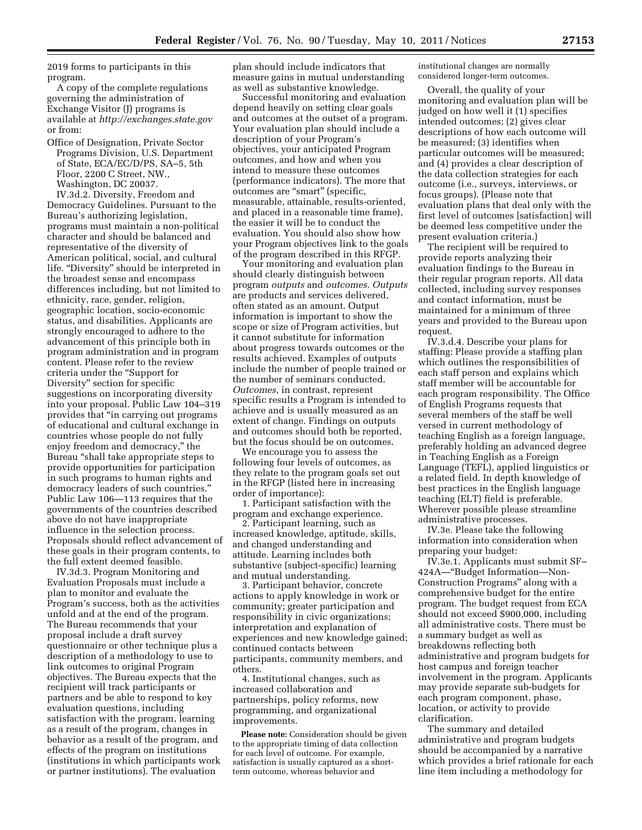2019 forms to participants in this program.

A copy of the complete regulations governing the administration of Exchange Visitor (J) programs is available at *<http://exchanges.state.gov>* or from:

Office of Designation, Private Sector Programs Division, U.S. Department of State, ECA/EC/D/PS, SA–5, 5th Floor, 2200 C Street, NW., Washington, DC 20037.

IV.3d.2. Diversity, Freedom and Democracy Guidelines. Pursuant to the Bureau's authorizing legislation, programs must maintain a non-political character and should be balanced and representative of the diversity of American political, social, and cultural life. ''Diversity'' should be interpreted in the broadest sense and encompass differences including, but not limited to ethnicity, race, gender, religion, geographic location, socio-economic status, and disabilities. Applicants are strongly encouraged to adhere to the advancement of this principle both in program administration and in program content. Please refer to the review criteria under the ''Support for Diversity'' section for specific suggestions on incorporating diversity into your proposal. Public Law 104–319 provides that ''in carrying out programs of educational and cultural exchange in countries whose people do not fully enjoy freedom and democracy,'' the Bureau ''shall take appropriate steps to provide opportunities for participation in such programs to human rights and democracy leaders of such countries.'' Public Law 106—113 requires that the governments of the countries described above do not have inappropriate influence in the selection process. Proposals should reflect advancement of these goals in their program contents, to the full extent deemed feasible.

IV.3d.3. Program Monitoring and Evaluation Proposals must include a plan to monitor and evaluate the Program's success, both as the activities unfold and at the end of the program. The Bureau recommends that your proposal include a draft survey questionnaire or other technique plus a description of a methodology to use to link outcomes to original Program objectives. The Bureau expects that the recipient will track participants or partners and be able to respond to key evaluation questions, including satisfaction with the program, learning as a result of the program, changes in behavior as a result of the program, and effects of the program on institutions (institutions in which participants work or partner institutions). The evaluation

plan should include indicators that measure gains in mutual understanding as well as substantive knowledge.

Successful monitoring and evaluation depend heavily on setting clear goals and outcomes at the outset of a program. Your evaluation plan should include a description of your Program's objectives, your anticipated Program outcomes, and how and when you intend to measure these outcomes (performance indicators). The more that outcomes are "smart" (specific, measurable, attainable, results-oriented, and placed in a reasonable time frame), the easier it will be to conduct the evaluation. You should also show how your Program objectives link to the goals of the program described in this RFGP.

Your monitoring and evaluation plan should clearly distinguish between program *outputs* and *outcomes. Outputs*  are products and services delivered, often stated as an amount. Output information is important to show the scope or size of Program activities, but it cannot substitute for information about progress towards outcomes or the results achieved. Examples of outputs include the number of people trained or the number of seminars conducted. *Outcomes,* in contrast, represent specific results a Program is intended to achieve and is usually measured as an extent of change. Findings on outputs and outcomes should both be reported, but the focus should be on outcomes.

We encourage you to assess the following four levels of outcomes, as they relate to the program goals set out in the RFGP (listed here in increasing order of importance):

1. Participant satisfaction with the program and exchange experience.

2. Participant learning, such as increased knowledge, aptitude, skills, and changed understanding and attitude. Learning includes both substantive (subject-specific) learning and mutual understanding.

3. Participant behavior, concrete actions to apply knowledge in work or community; greater participation and responsibility in civic organizations; interpretation and explanation of experiences and new knowledge gained; continued contacts between participants, community members, and others.

4. Institutional changes, such as increased collaboration and partnerships, policy reforms, new programming, and organizational improvements.

**Please note:** Consideration should be given to the appropriate timing of data collection for each level of outcome. For example, satisfaction is usually captured as a shortterm outcome, whereas behavior and

institutional changes are normally considered longer-term outcomes.

Overall, the quality of your monitoring and evaluation plan will be judged on how well it (1) specifies intended outcomes; (2) gives clear descriptions of how each outcome will be measured; (3) identifies when particular outcomes will be measured; and (4) provides a clear description of the data collection strategies for each outcome (i.e., surveys, interviews, or focus groups). (Please note that evaluation plans that deal only with the first level of outcomes [satisfaction] will be deemed less competitive under the present evaluation criteria.)

The recipient will be required to provide reports analyzing their evaluation findings to the Bureau in their regular program reports. All data collected, including survey responses and contact information, must be maintained for a minimum of three years and provided to the Bureau upon request.

IV.3.d.4. Describe your plans for staffing: Please provide a staffing plan which outlines the responsibilities of each staff person and explains which staff member will be accountable for each program responsibility. The Office of English Programs requests that several members of the staff be well versed in current methodology of teaching English as a foreign language, preferably holding an advanced degree in Teaching English as a Foreign Language (TEFL), applied linguistics or a related field. In depth knowledge of best practices in the English language teaching (ELT) field is preferable. Wherever possible please streamline administrative processes.

IV.3e. Please take the following information into consideration when preparing your budget:

IV.3e.1. Applicants must submit SF– 424A—''Budget Information—Non-Construction Programs'' along with a comprehensive budget for the entire program. The budget request from ECA should not exceed \$900,000, including all administrative costs. There must be a summary budget as well as breakdowns reflecting both administrative and program budgets for host campus and foreign teacher involvement in the program. Applicants may provide separate sub-budgets for each program component, phase, location, or activity to provide clarification.

The summary and detailed administrative and program budgets should be accompanied by a narrative which provides a brief rationale for each line item including a methodology for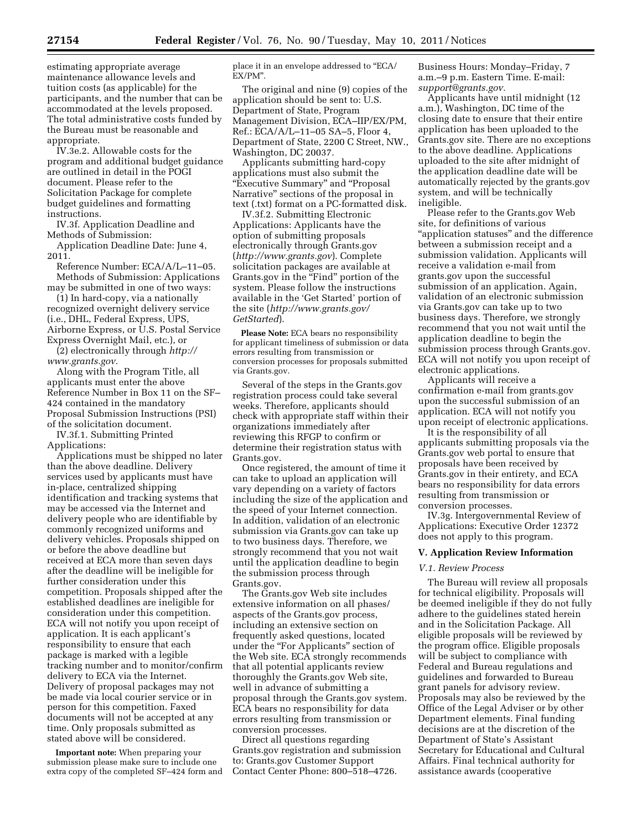estimating appropriate average maintenance allowance levels and tuition costs (as applicable) for the participants, and the number that can be accommodated at the levels proposed. The total administrative costs funded by the Bureau must be reasonable and appropriate.

IV.3e.2. Allowable costs for the program and additional budget guidance are outlined in detail in the POGI document. Please refer to the Solicitation Package for complete budget guidelines and formatting instructions.

IV.3f. Application Deadline and Methods of Submission:

Application Deadline Date: June 4, 2011.

Reference Number: ECA/A/L–11–05. Methods of Submission: Applications may be submitted in one of two ways:

(1) In hard-copy, via a nationally recognized overnight delivery service (i.e., DHL, Federal Express, UPS, Airborne Express, or U.S. Postal Service Express Overnight Mail, etc.), or

(2) electronically through *[http://](http://www.grants.gov)  [www.grants.gov.](http://www.grants.gov)* 

Along with the Program Title, all applicants must enter the above Reference Number in Box 11 on the SF– 424 contained in the mandatory Proposal Submission Instructions (PSI) of the solicitation document.

IV.3f.1. Submitting Printed Applications:

Applications must be shipped no later than the above deadline. Delivery services used by applicants must have in-place, centralized shipping identification and tracking systems that may be accessed via the Internet and delivery people who are identifiable by commonly recognized uniforms and delivery vehicles. Proposals shipped on or before the above deadline but received at ECA more than seven days after the deadline will be ineligible for further consideration under this competition. Proposals shipped after the established deadlines are ineligible for consideration under this competition. ECA will not notify you upon receipt of application. It is each applicant's responsibility to ensure that each package is marked with a legible tracking number and to monitor/confirm delivery to ECA via the Internet. Delivery of proposal packages may not be made via local courier service or in person for this competition. Faxed documents will not be accepted at any time. Only proposals submitted as stated above will be considered.

**Important note:** When preparing your submission please make sure to include one extra copy of the completed SF–424 form and place it in an envelope addressed to ''ECA/ EX/PM''.

The original and nine (9) copies of the application should be sent to: U.S. Department of State, Program Management Division, ECA–IIP/EX/PM, Ref.: ECA/A/L–11–05 SA–5, Floor 4, Department of State, 2200 C Street, NW., Washington, DC 20037.

Applicants submitting hard-copy applications must also submit the "Executive Summary" and "Proposal Narrative'' sections of the proposal in text (.txt) format on a PC-formatted disk.

IV.3f.2. Submitting Electronic Applications: Applicants have the option of submitting proposals electronically through Grants.gov (*<http://www.grants.gov>*). Complete solicitation packages are available at Grants.gov in the "Find" portion of the system. Please follow the instructions available in the 'Get Started' portion of the site (*[http://www.grants.gov/](http://www.grants.gov/GetStarted)  [GetStarted](http://www.grants.gov/GetStarted)*).

**Please Note:** ECA bears no responsibility for applicant timeliness of submission or data errors resulting from transmission or conversion processes for proposals submitted via Grants.gov.

Several of the steps in the Grants.gov registration process could take several weeks. Therefore, applicants should check with appropriate staff within their organizations immediately after reviewing this RFGP to confirm or determine their registration status with Grants.gov.

Once registered, the amount of time it can take to upload an application will vary depending on a variety of factors including the size of the application and the speed of your Internet connection. In addition, validation of an electronic submission via Grants.gov can take up to two business days. Therefore, we strongly recommend that you not wait until the application deadline to begin the submission process through Grants.gov.

The Grants.gov Web site includes extensive information on all phases/ aspects of the Grants.gov process, including an extensive section on frequently asked questions, located under the "For Applicants" section of the Web site. ECA strongly recommends that all potential applicants review thoroughly the Grants.gov Web site, well in advance of submitting a proposal through the Grants.gov system. ECA bears no responsibility for data errors resulting from transmission or conversion processes.

Direct all questions regarding Grants.gov registration and submission to: Grants.gov Customer Support Contact Center Phone: 800–518–4726.

Business Hours: Monday–Friday, 7 a.m.–9 p.m. Eastern Time. E-mail: *[support@grants.gov.](mailto:support@grants.gov)* 

Applicants have until midnight (12 a.m.), Washington, DC time of the closing date to ensure that their entire application has been uploaded to the Grants.gov site. There are no exceptions to the above deadline. Applications uploaded to the site after midnight of the application deadline date will be automatically rejected by the grants.gov system, and will be technically ineligible.

Please refer to the Grants.gov Web site, for definitions of various ''application statuses'' and the difference between a submission receipt and a submission validation. Applicants will receive a validation e-mail from grants.gov upon the successful submission of an application. Again, validation of an electronic submission via Grants.gov can take up to two business days. Therefore, we strongly recommend that you not wait until the application deadline to begin the submission process through Grants.gov. ECA will not notify you upon receipt of electronic applications.

Applicants will receive a confirmation e-mail from grants.gov upon the successful submission of an application. ECA will not notify you upon receipt of electronic applications.

It is the responsibility of all applicants submitting proposals via the Grants.gov web portal to ensure that proposals have been received by Grants.gov in their entirety, and ECA bears no responsibility for data errors resulting from transmission or conversion processes.

IV.3g. Intergovernmental Review of Applications: Executive Order 12372 does not apply to this program.

### **V. Application Review Information**

## *V.1. Review Process*

The Bureau will review all proposals for technical eligibility. Proposals will be deemed ineligible if they do not fully adhere to the guidelines stated herein and in the Solicitation Package. All eligible proposals will be reviewed by the program office. Eligible proposals will be subject to compliance with Federal and Bureau regulations and guidelines and forwarded to Bureau grant panels for advisory review. Proposals may also be reviewed by the Office of the Legal Adviser or by other Department elements. Final funding decisions are at the discretion of the Department of State's Assistant Secretary for Educational and Cultural Affairs. Final technical authority for assistance awards (cooperative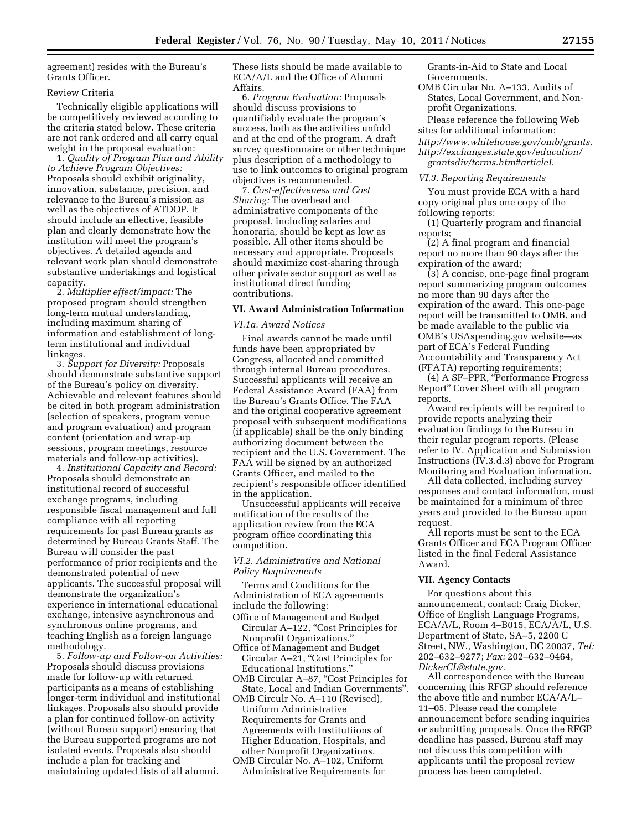agreement) resides with the Bureau's Grants Officer.

#### Review Criteria

Technically eligible applications will be competitively reviewed according to the criteria stated below. These criteria are not rank ordered and all carry equal weight in the proposal evaluation:

1. *Quality of Program Plan and Ability to Achieve Program Objectives:*  Proposals should exhibit originality, innovation, substance, precision, and relevance to the Bureau's mission as well as the objectives of ATDOP. It should include an effective, feasible plan and clearly demonstrate how the institution will meet the program's objectives. A detailed agenda and relevant work plan should demonstrate substantive undertakings and logistical capacity.

2. *Multiplier effect/impact:* The proposed program should strengthen long-term mutual understanding, including maximum sharing of information and establishment of longterm institutional and individual linkages.

3. *Support for Diversity:* Proposals should demonstrate substantive support of the Bureau's policy on diversity. Achievable and relevant features should be cited in both program administration (selection of speakers, program venue and program evaluation) and program content (orientation and wrap-up sessions, program meetings, resource materials and follow-up activities).

4. *Institutional Capacity and Record:*  Proposals should demonstrate an institutional record of successful exchange programs, including responsible fiscal management and full compliance with all reporting requirements for past Bureau grants as determined by Bureau Grants Staff. The Bureau will consider the past performance of prior recipients and the demonstrated potential of new applicants. The successful proposal will demonstrate the organization's experience in international educational exchange, intensive asynchronous and synchronous online programs, and teaching English as a foreign language methodology.

5. *Follow-up and Follow-on Activities:*  Proposals should discuss provisions made for follow-up with returned participants as a means of establishing longer-term individual and institutional linkages. Proposals also should provide a plan for continued follow-on activity (without Bureau support) ensuring that the Bureau supported programs are not isolated events. Proposals also should include a plan for tracking and maintaining updated lists of all alumni.

These lists should be made available to ECA/A/L and the Office of Alumni Affairs.

6. *Program Evaluation:* Proposals should discuss provisions to quantifiably evaluate the program's success, both as the activities unfold and at the end of the program. A draft survey questionnaire or other technique plus description of a methodology to use to link outcomes to original program objectives is recommended.

7. *Cost-effectiveness and Cost Sharing:* The overhead and administrative components of the proposal, including salaries and honoraria, should be kept as low as possible. All other items should be necessary and appropriate. Proposals should maximize cost-sharing through other private sector support as well as institutional direct funding contributions.

# **VI. Award Administration Information**

### *VI.1a. Award Notices*

Final awards cannot be made until funds have been appropriated by Congress, allocated and committed through internal Bureau procedures. Successful applicants will receive an Federal Assistance Award (FAA) from the Bureau's Grants Office. The FAA and the original cooperative agreement proposal with subsequent modifications (if applicable) shall be the only binding authorizing document between the recipient and the U.S. Government. The FAA will be signed by an authorized Grants Officer, and mailed to the recipient's responsible officer identified in the application.

Unsuccessful applicants will receive notification of the results of the application review from the ECA program office coordinating this competition.

# *VI.2. Administrative and National Policy Requirements*

Terms and Conditions for the Administration of ECA agreements include the following:

- Office of Management and Budget Circular A-122, "Cost Principles for Nonprofit Organizations.''
- Office of Management and Budget Circular A–21, "Cost Principles for Educational Institutions.''
- OMB Circular A-87, "Cost Principles for State, Local and Indian Governments''.
- OMB Circulr No. A–110 (Revised), Uniform Administrative Requirements for Grants and Agreements with Institutiions of Higher Education, Hospitals, and other Nonprofit Organizations.
- OMB Circular No. A–102, Uniform Administrative Requirements for

Grants-in-Aid to State and Local Governments.

OMB Circular No. A–133, Audits of States, Local Government, and Nonprofit Organizations.

Please reference the following Web sites for additional information: *[http://www.whitehouse.gov/omb/grants.](http://www.whitehouse.gov/omb/grants)  [http://exchanges.state.gov/education/](http://exchanges.state.gov/education/grantsdiv/terms.htm#articleI)  [grantsdiv/terms.htm#articleI.](http://exchanges.state.gov/education/grantsdiv/terms.htm#articleI)* 

### *VI.3. Reporting Requirements*

You must provide ECA with a hard copy original plus one copy of the following reports:

(1) Quarterly program and financial reports;

(2) A final program and financial report no more than 90 days after the expiration of the award;

(3) A concise, one-page final program report summarizing program outcomes no more than 90 days after the expiration of the award. This one-page report will be transmitted to OMB, and be made available to the public via OMB's USAspending.gov website—as part of ECA's Federal Funding Accountability and Transparency Act (FFATA) reporting requirements;

(4) A SF–PPR, ''Performance Progress Report'' Cover Sheet with all program reports.

Award recipients will be required to provide reports analyzing their evaluation findings to the Bureau in their regular program reports. (Please refer to IV. Application and Submission Instructions (IV.3.d.3) above for Program Monitoring and Evaluation information.

All data collected, including survey responses and contact information, must be maintained for a minimum of three years and provided to the Bureau upon request.

All reports must be sent to the ECA Grants Officer and ECA Program Officer listed in the final Federal Assistance Award.

## **VII. Agency Contacts**

For questions about this announcement, contact: Craig Dicker, Office of English Language Programs, ECA/A/L, Room 4–B015, ECA/A/L, U.S. Department of State, SA–5, 2200 C Street, NW., Washington, DC 20037, *Tel:*  202–632–9277; *Fax:* 202–632–9464, *[DickerCL@state.gov.](mailto:DickerCL@state.gov)* 

All correspondence with the Bureau concerning this RFGP should reference the above title and number ECA/A/L– 11–05. Please read the complete announcement before sending inquiries or submitting proposals. Once the RFGP deadline has passed, Bureau staff may not discuss this competition with applicants until the proposal review process has been completed.